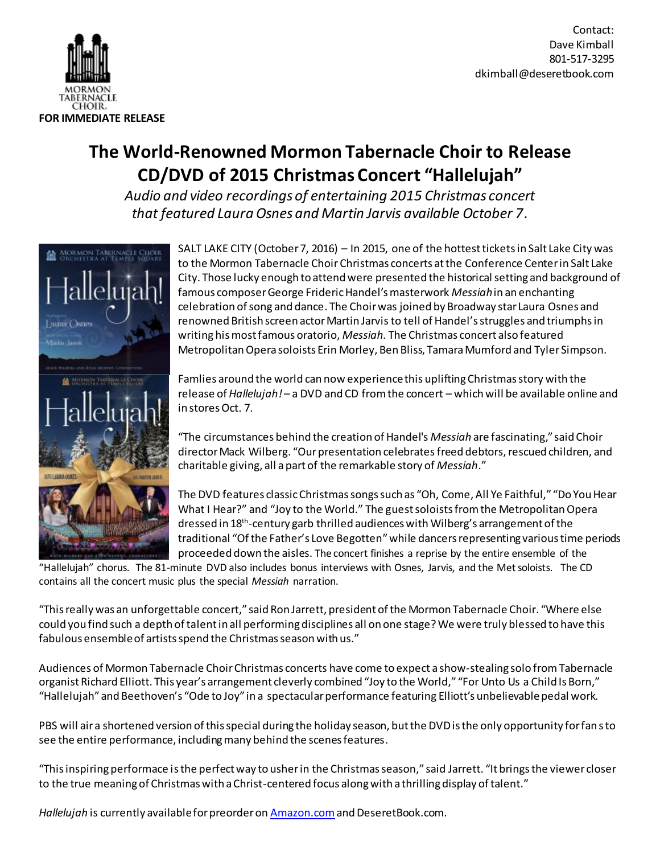

Contact: Dave Kimball 801-517-3295 dkimball@deseretbook.com

## **The World-Renowned Mormon Tabernacle Choir to Release CD/DVD of 2015 Christmas Concert "Hallelujah"**

*Audio and video recordings of entertaining 2015 Christmas concert that featured Laura Osnes and Martin Jarvis available October 7.*



SALT LAKE CITY (October 7, 2016) – In 2015, one of the hottest ticketsin Salt Lake City was to the Mormon Tabernacle Choir Christmas concerts at the Conference Center in Salt Lake City. Those lucky enough to attend were presented the historical setting and background of famous composer George Frideric Handel's masterwork *Messiah*in an enchanting celebration of song and dance. The Choir was joined by Broadway star Laura Osnes and renowned British screen actor Martin Jarvis to tell of Handel's struggles and triumphs in writing his most famous oratorio, *Messiah.* The Christmas concert also featured Metropolitan Opera soloists Erin Morley, Ben Bliss, Tamara Mumford and Tyler Simpson.

Famlies around the world can now experience this uplifting Christmas story with the release of *Hallelujah!* – a DVD and CD from the concert – which will be available online and in stores Oct. 7.

"The circumstances behind the creation of Handel's *Messiah* are fascinating," said Choir director Mack Wilberg. "Our presentation celebratesfreed debtors, rescued children, and charitable giving, all a part of the remarkable story of *Messiah*."

The DVD features classic Christmas songs such as "Oh, Come, All Ye Faithful," "Do You Hear What I Hear?" and "Joy to the World." The guest soloists from the Metropolitan Opera dressed in 18th -century garb thrilled audiences with Wilberg's arrangement of the traditional "Of the Father's Love Begotten" while dancers representing various time periods proceeded down the aisles. The concert finishes a reprise by the entire ensemble of the

"Hallelujah" chorus. The 81-minute DVD also includes bonus interviews with Osnes, Jarvis, and the Met soloists. The CD contains all the concert music plus the special *Messiah* narration.

"This really was an unforgettable concert," said Ron Jarrett, president of the Mormon Tabernacle Choir. "Where else could you find such a depth of talent in all performing disciplines all on one stage? We were truly blessed to have this fabulous ensemble of artists spend the Christmas season with us."

Audiences of Mormon Tabernacle Choir Christmas concerts have come to expect a show-stealing solo fromTabernacle organist Richard Elliott. This year's arrangement cleverly combined "Joy to the World," "For Unto Us a Child Is Born," "Hallelujah" and Beethoven's "Ode to Joy" in a spectacular performance featuring Elliott's unbelievable pedal work.

PBS will air a shortened version of this special during the holiday season, but the DVD is the only opportunity for fans to see the entire performance, including many behind the scenes features.

"This inspiring performace is the perfect way to usher in the Christmas season," said Jarrett. "It brings the viewer closer to the true meaning of Christmas with a Christ-centered focus along with a thrilling display of talent."

*Hallelujah* is currently available for preorder o[n Amazon.com](http://www.amazon.com/Keep-Christmas-Mormon-Tabernacle-Choir/dp/B00YZB1II8/ref=sr_1_1?ie=UTF8&qid=1441387769&sr=8-1&keywords=Keep+Christmas+with+you&pebp=1441387770705&perid=1J49CXR1DE6N7XQBY24Y)and DeseretBook.com.